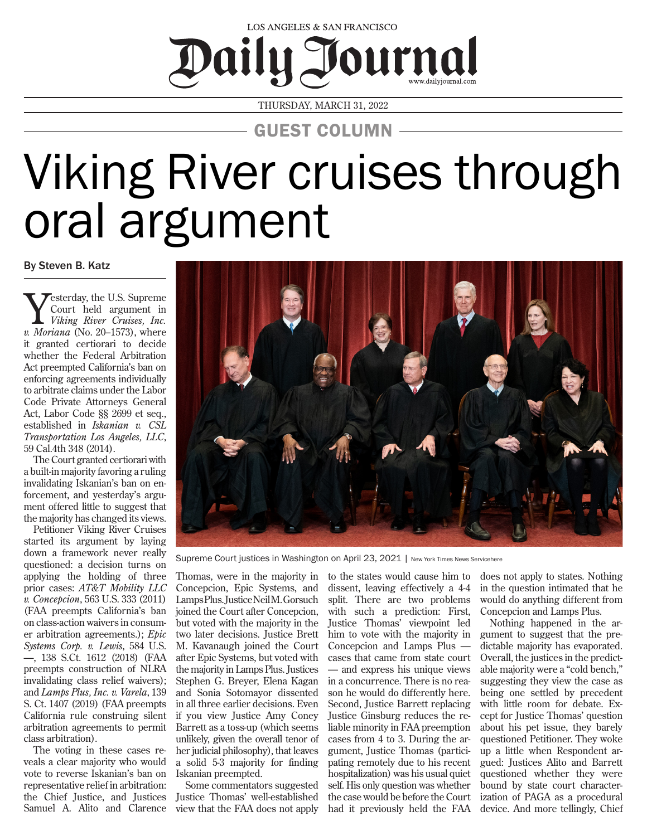

THURSDAY, MARCH 31, 2022

## GUEST COLUMN

## Viking River cruises through oral argument

By Steven B. Katz

**Yesterday, the U.S. Supreme**<br>Court held argument in<br>*Viking River Cruises, Inc.*<br>*Moriang* (No. 20, 1572), where Court held argument in *v. Moriana* (No. 20–1573), where it granted certiorari to decide whether the Federal Arbitration Act preempted California's ban on enforcing agreements individually to arbitrate claims under the Labor Code Private Attorneys General Act, Labor Code §§ 2699 et seq., established in *Iskanian v. CSL Transportation Los Angeles, LLC*, 59 Cal.4th 348 (2014).

The Court granted certiorari with a built-in majority favoring a ruling invalidating Iskanian's ban on enforcement, and yesterday's argument offered little to suggest that the majority has changed its views.

Petitioner Viking River Cruises started its argument by laying down a framework never really questioned: a decision turns on applying the holding of three prior cases: *AT&T Mobility LLC v. Concepcion*, 563 U.S. 333 (2011) (FAA preempts California's ban on class-action waivers in consumer arbitration agreements.); *Epic Systems Corp. v. Lewis*, 584 U.S. —, 138 S.Ct. 1612 (2018) (FAA preempts construction of NLRA invalidating class relief waivers); and *Lamps Plus, Inc. v. Varela*, 139 S. Ct. 1407 (2019) (FAA preempts California rule construing silent arbitration agreements to permit class arbitration).

The voting in these cases reveals a clear majority who would vote to reverse Iskanian's ban on representative relief in arbitration: the Chief Justice, and Justices Samuel A. Alito and Clarence



Supreme Court justices in Washington on April 23, 2021 | New York Times News Servicehere

Thomas, were in the majority in Concepcion, Epic Systems, and Lamps Plus. Justice Neil M. Gorsuch joined the Court after Concepcion, but voted with the majority in the two later decisions. Justice Brett M. Kavanaugh joined the Court after Epic Systems, but voted with the majority in Lamps Plus. Justices Stephen G. Breyer, Elena Kagan and Sonia Sotomayor dissented in all three earlier decisions. Even if you view Justice Amy Coney Barrett as a toss-up (which seems unlikely, given the overall tenor of her judicial philosophy), that leaves a solid 5-3 majority for finding Iskanian preempted.

Some commentators suggested Justice Thomas' well-established view that the FAA does not apply to the states would cause him to dissent, leaving effectively a 4-4 split. There are two problems with such a prediction: First, Justice Thomas' viewpoint led him to vote with the majority in Concepcion and Lamps Plus cases that came from state court — and express his unique views in a concurrence. There is no reason he would do differently here. Second, Justice Barrett replacing Justice Ginsburg reduces the reliable minority in FAA preemption cases from 4 to 3. During the argument, Justice Thomas (participating remotely due to his recent hospitalization) was his usual quiet self. His only question was whether the case would be before the Court had it previously held the FAA

does not apply to states. Nothing in the question intimated that he would do anything different from Concepcion and Lamps Plus.

Nothing happened in the argument to suggest that the predictable majority has evaporated. Overall, the justices in the predictable majority were a "cold bench," suggesting they view the case as being one settled by precedent with little room for debate. Except for Justice Thomas' question about his pet issue, they barely questioned Petitioner. They woke up a little when Respondent argued: Justices Alito and Barrett questioned whether they were bound by state court characterization of PAGA as a procedural device. And more tellingly, Chief